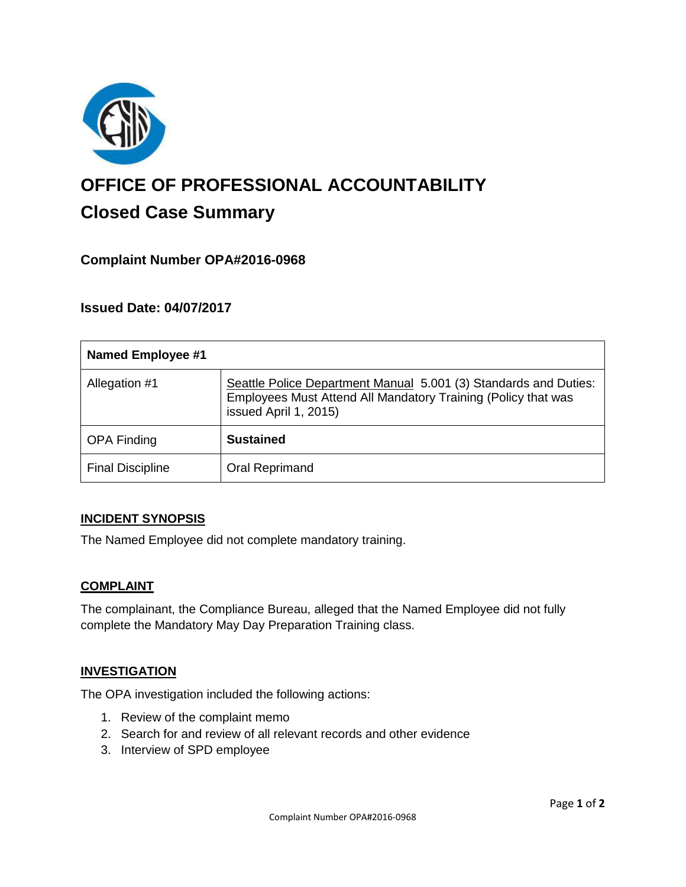

# **OFFICE OF PROFESSIONAL ACCOUNTABILITY Closed Case Summary**

## **Complaint Number OPA#2016-0968**

## **Issued Date: 04/07/2017**

| <b>Named Employee #1</b> |                                                                                                                                                            |
|--------------------------|------------------------------------------------------------------------------------------------------------------------------------------------------------|
| Allegation #1            | Seattle Police Department Manual 5.001 (3) Standards and Duties:<br>Employees Must Attend All Mandatory Training (Policy that was<br>issued April 1, 2015) |
| <b>OPA Finding</b>       | <b>Sustained</b>                                                                                                                                           |
| <b>Final Discipline</b>  | Oral Reprimand                                                                                                                                             |

#### **INCIDENT SYNOPSIS**

The Named Employee did not complete mandatory training.

#### **COMPLAINT**

The complainant, the Compliance Bureau, alleged that the Named Employee did not fully complete the Mandatory May Day Preparation Training class.

#### **INVESTIGATION**

The OPA investigation included the following actions:

- 1. Review of the complaint memo
- 2. Search for and review of all relevant records and other evidence
- 3. Interview of SPD employee